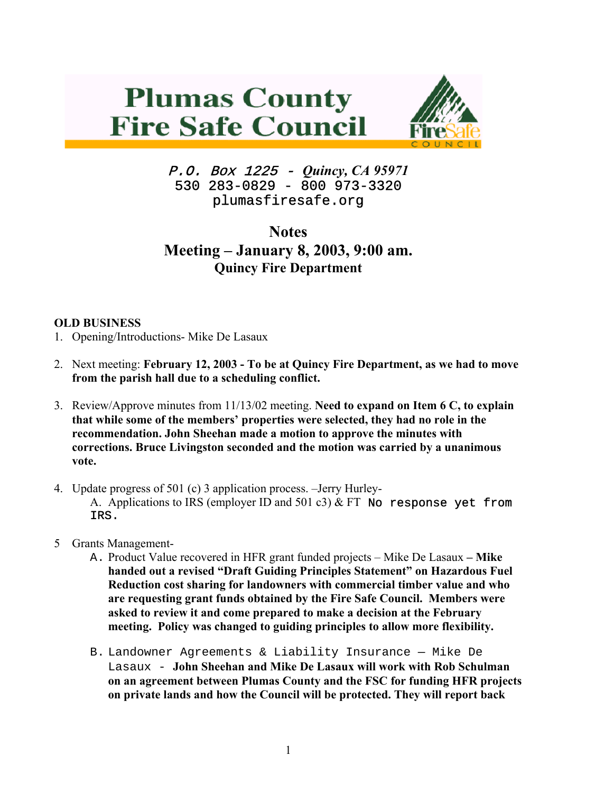



P.O. Box 1225 - *Quincy, CA 95971*  530 283-0829 - 800 973-3320 plumasfiresafe.org

**Notes Meeting – January 8, 2003, 9:00 am. Quincy Fire Department** 

## **OLD BUSINESS**

- 1. Opening/Introductions- Mike De Lasaux
- 2. Next meeting: **February 12, 2003 To be at Quincy Fire Department, as we had to move from the parish hall due to a scheduling conflict.**
- 3. Review/Approve minutes from 11/13/02 meeting. **Need to expand on Item 6 C, to explain that while some of the members' properties were selected, they had no role in the recommendation. John Sheehan made a motion to approve the minutes with corrections. Bruce Livingston seconded and the motion was carried by a unanimous vote.**
- 4. Update progress of 501 (c) 3 application process. –Jerry Hurley-

A. Applications to IRS (employer ID and 501 c3)  $&$  FT No response yet from IRS.

- 5 Grants Management-
	- A. Product Value recovered in HFR grant funded projects Mike De Lasaux **Mike handed out a revised "Draft Guiding Principles Statement" on Hazardous Fuel Reduction cost sharing for landowners with commercial timber value and who are requesting grant funds obtained by the Fire Safe Council. Members were asked to review it and come prepared to make a decision at the February meeting. Policy was changed to guiding principles to allow more flexibility.**
	- B. Landowner Agreements & Liability Insurance Mike De Lasaux - **John Sheehan and Mike De Lasaux will work with Rob Schulman on an agreement between Plumas County and the FSC for funding HFR projects on private lands and how the Council will be protected. They will report back**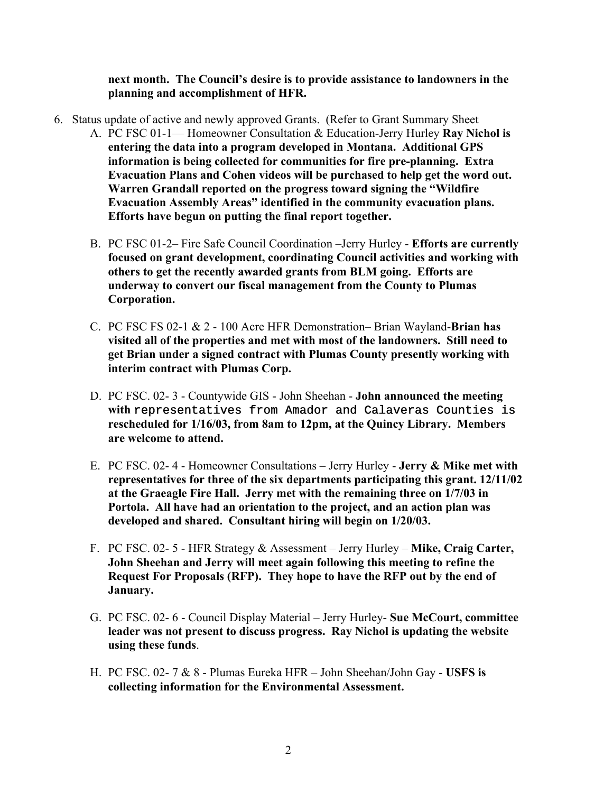## **next month. The Council's desire is to provide assistance to landowners in the planning and accomplishment of HFR.**

- 6. Status update of active and newly approved Grants. (Refer to Grant Summary Sheet A. PC FSC 01-1— Homeowner Consultation & Education-Jerry Hurley **Ray Nichol is entering the data into a program developed in Montana. Additional GPS information is being collected for communities for fire pre-planning. Extra Evacuation Plans and Cohen videos will be purchased to help get the word out. Warren Grandall reported on the progress toward signing the "Wildfire Evacuation Assembly Areas" identified in the community evacuation plans. Efforts have begun on putting the final report together.**
	- B. PC FSC 01-2– Fire Safe Council Coordination –Jerry Hurley **Efforts are currently focused on grant development, coordinating Council activities and working with others to get the recently awarded grants from BLM going. Efforts are underway to convert our fiscal management from the County to Plumas Corporation.**
	- C. PC FSC FS 02-1 & 2 100 Acre HFR Demonstration– Brian Wayland-**Brian has visited all of the properties and met with most of the landowners. Still need to get Brian under a signed contract with Plumas County presently working with interim contract with Plumas Corp.**
	- D. PC FSC. 02- 3 Countywide GIS John Sheehan - **John announced the meeting with** representatives from Amador and Calaveras Counties is **rescheduled for 1/16/03, from 8am to 12pm, at the Quincy Library. Members are welcome to attend.**
	- E. PC FSC. 02- 4 Homeowner Consultations Jerry Hurley **Jerry & Mike met with representatives for three of the six departments participating this grant. 12/11/02 at the Graeagle Fire Hall. Jerry met with the remaining three on 1/7/03 in Portola. All have had an orientation to the project, and an action plan was developed and shared. Consultant hiring will begin on 1/20/03.**
	- F. PC FSC. 02- 5 HFR Strategy & Assessment Jerry Hurley **Mike, Craig Carter, John Sheehan and Jerry will meet again following this meeting to refine the Request For Proposals (RFP). They hope to have the RFP out by the end of January.**
	- G. PC FSC. 02- 6 Council Display Material Jerry Hurley- **Sue McCourt, committee leader was not present to discuss progress. Ray Nichol is updating the website using these funds**.
	- H. PC FSC. 02- 7 & 8 Plumas Eureka HFR John Sheehan/John Gay **USFS is collecting information for the Environmental Assessment.**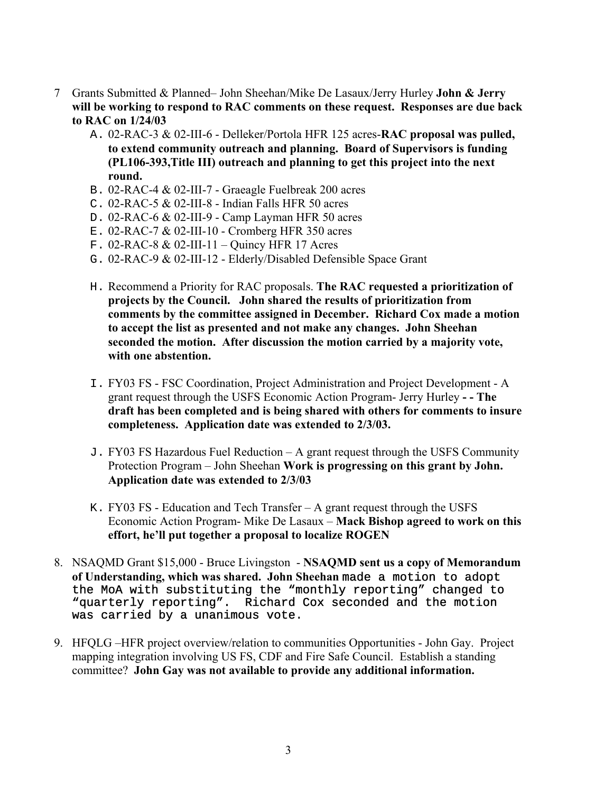- 7 Grants Submitted & Planned– John Sheehan/Mike De Lasaux/Jerry Hurley **John & Jerry will be working to respond to RAC comments on these request. Responses are due back to RAC on 1/24/03** 
	- A. 02-RAC-3 & 02-III-6 Delleker/Portola HFR 125 acres-**RAC proposal was pulled, to extend community outreach and planning. Board of Supervisors is funding (PL106-393,Title III) outreach and planning to get this project into the next round.**
	- B. 02-RAC-4 & 02-III-7 Graeagle Fuelbreak 200 acres
	- C. 02-RAC-5 & 02-III-8 Indian Falls HFR 50 acres
	- D. 02-RAC-6 & 02-III-9 Camp Layman HFR 50 acres
	- E. 02-RAC-7 & 02-III-10 Cromberg HFR 350 acres
	- F. 02-RAC-8 & 02-III-11 Quincy HFR 17 Acres
	- G. 02-RAC-9 & 02-III-12 Elderly/Disabled Defensible Space Grant
	- H. Recommend a Priority for RAC proposals. **The RAC requested a prioritization of projects by the Council. John shared the results of prioritization from comments by the committee assigned in December. Richard Cox made a motion to accept the list as presented and not make any changes. John Sheehan seconded the motion. After discussion the motion carried by a majority vote, with one abstention.**
	- I. FY03 FS FSC Coordination, Project Administration and Project Development A grant request through the USFS Economic Action Program- Jerry Hurley **- - The draft has been completed and is being shared with others for comments to insure completeness. Application date was extended to 2/3/03.**
	- J. FY03 FS Hazardous Fuel Reduction A grant request through the USFS Community Protection Program – John Sheehan **Work is progressing on this grant by John. Application date was extended to 2/3/03**
	- K. FY03 FS Education and Tech Transfer A grant request through the USFS Economic Action Program- Mike De Lasaux – **Mack Bishop agreed to work on this effort, he'll put together a proposal to localize ROGEN**
- 8. NSAQMD Grant \$15,000 Bruce Livingston **NSAQMD sent us a copy of Memorandum of Understanding, which was shared. John Sheehan** made a motion to adopt the MoA with substituting the "monthly reporting" changed to "quarterly reporting". Richard Cox seconded and the motion was carried by a unanimous vote.
- 9. HFQLG –HFR project overview/relation to communities Opportunities John Gay. Project mapping integration involving US FS, CDF and Fire Safe Council. Establish a standing committee? **John Gay was not available to provide any additional information.**